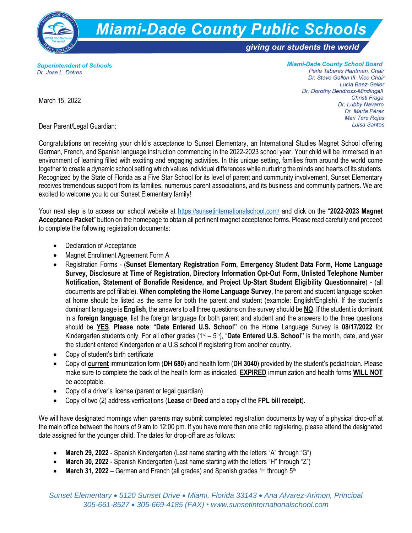

**Superintendent of Schools** Dr. Jose L. Dotres

**Miami-Dade County School Board** Perla Tabares Hantman, Chair Dr. Steve Gallon III, Vice Chair Lucia Baez-Geller Dr. Dorothy Bendross-Mindingall Christi Fraga Dr. Lubby Navarro Dr. Marta Pérez **Mari Tere Roias** Luisa Santos

March 15, 2022

Dear Parent/Legal Guardian:

Congratulations on receiving your child's acceptance to Sunset Elementary, an International Studies Magnet School offering German, French, and Spanish language instruction commencing in the 2022-2023 school year. Your child will be immersed in an environment of learning filled with exciting and engaging activities. In this unique setting, families from around the world come together to create a dynamic school setting which values individual differences while nurturing the minds and hearts of its students. Recognized by the State of Florida as a Five Star School for its level of parent and community involvement, Sunset Elementary receives tremendous support from its families, numerous parent associations, and its business and community partners. We are excited to welcome you to our Sunset Elementary family!

Your next step is to access our school website at<https://sunsetinternationalschool.com/> and click on the "**2022-2023 Magnet Acceptance Packet**" button on the homepage to obtain all pertinent magnet acceptance forms. Please read carefully and proceed to complete the following registration documents:

- Declaration of Acceptance
- Magnet Enrollment Agreement Form A
- Registration Forms (**Sunset Elementary Registration Form, Emergency Student Data Form, Home Language Survey, Disclosure at Time of Registration, Directory Information Opt-Out Form, Unlisted Telephone Number Notification, Statement of Bonafide Residence, and Project Up-Start Student Eligibility Questionnaire**) - (all documents are pdf fillable). **When completing the Home Language Survey**, the parent and student language spoken at home should be listed as the same for both the parent and student (example: English/English). If the student's dominant language is **English**, the answers to all three questions on the survey should be **NO**. If the student is dominant in a **foreign language**, list the foreign language for both parent and student and the answers to the three questions should be **YES**. **Please note**: "**Date Entered U.S. School"** on the Home Language Survey is **08/17/2022** for Kindergarten students only. For all other grades (1<sup>st</sup> – 5<sup>th</sup>), "**Date Entered U.S. School**" is the month, date, and year the student entered Kindergarten or a U.S school if registering from another country.
- Copy of student's birth certificate
- Copy of **current** immunization form (**DH 680**) and health form (**DH 3040**) provided by the student's pediatrician. Please make sure to complete the back of the health form as indicated. **EXPIRED** immunization and health forms **WILL NOT** be acceptable.
- Copy of a driver's license (parent or legal guardian)
- Copy of two (2) address verifications (**Lease** or **Deed** and a copy of the **FPL bill receipt**).

We will have designated mornings when parents may submit completed registration documents by way of a physical drop-off at the main office between the hours of 9 am to 12:00 pm. If you have more than one child registering, please attend the designated date assigned for the younger child. The dates for drop-off are as follows:

- **March 29, 2022** Spanish Kindergarten (Last name starting with the letters "A" through "G")
- **March 30, 2022**  Spanish Kindergarten (Last name starting with the letters "H" through "Z")
- **March 31, 2022** German and French (all grades) and Spanish grades 1<sup>st</sup> through 5<sup>th</sup>